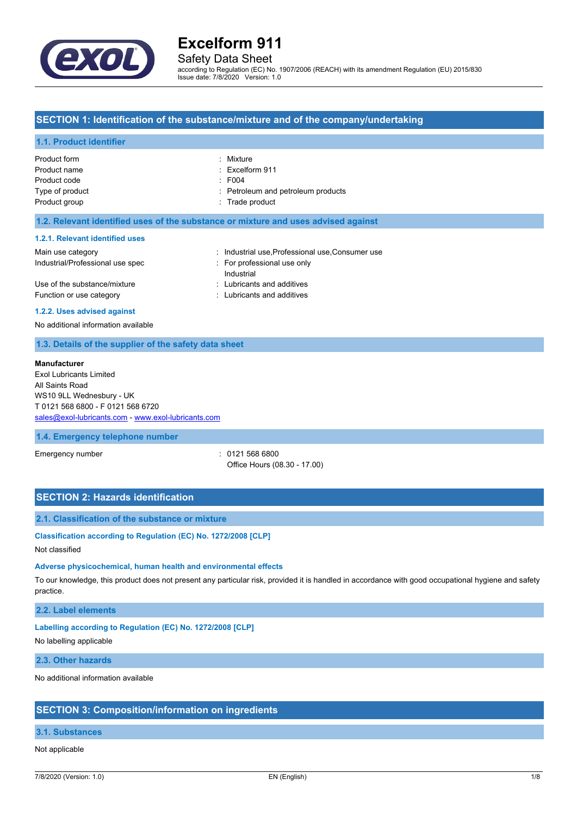

# Safety Data Sheet

according to Regulation (EC) No. 1907/2006 (REACH) with its amendment Regulation (EU) 2015/830 Issue date: 7/8/2020 Version: 1.0

### **SECTION 1: Identification of the substance/mixture and of the company/undertaking**

#### **1.1. Product identifier**

| Product form    | : Mixture                          |
|-----------------|------------------------------------|
| Product name    | $:$ Excelform 911                  |
| Product code    | $\div$ F004                        |
| Type of product | : Petroleum and petroleum products |
| Product group   | : Trade product                    |
|                 |                                    |

#### **1.2. Relevant identified uses of the substance or mixture and uses advised against**

#### **1.2.1. Relevant identified uses**

| Main use category                | : Industrial use, Professional use, Consumer use |
|----------------------------------|--------------------------------------------------|
| Industrial/Professional use spec | For professional use only                        |
|                                  | Industrial                                       |
| Use of the substance/mixture     | : Lubricants and additives                       |
| Function or use category         | : Lubricants and additives                       |
|                                  |                                                  |

#### **1.2.2. Uses advised against**

No additional information available

### **1.3. Details of the supplier of the safety data sheet**

#### **Manufacturer**

Exol Lubricants Limited All Saints Road WS10 9LL Wednesbury - UK T 0121 568 6800 - F 0121 568 6720 [sales@exol-lubricants.com](mailto:sales@exol-lubricants.com) - <www.exol-lubricants.com>

#### **1.4. Emergency telephone number**

Emergency number : 0121 568 6800 Office Hours (08.30 - 17.00)

### **SECTION 2: Hazards identification**

### **2.1. Classification of the substance or mixture**

#### **Classification according to Regulation (EC) No. 1272/2008 [CLP]**

Not classified

#### **Adverse physicochemical, human health and environmental effects**

To our knowledge, this product does not present any particular risk, provided it is handled in accordance with good occupational hygiene and safety practice.

#### **2.2. Label elements**

#### **Labelling according to Regulation (EC) No. 1272/2008 [CLP]**

No labelling applicable

#### **2.3. Other hazards**

No additional information available

#### **SECTION 3: Composition/information on ingredients**

### **3.1. Substances**

#### Not applicable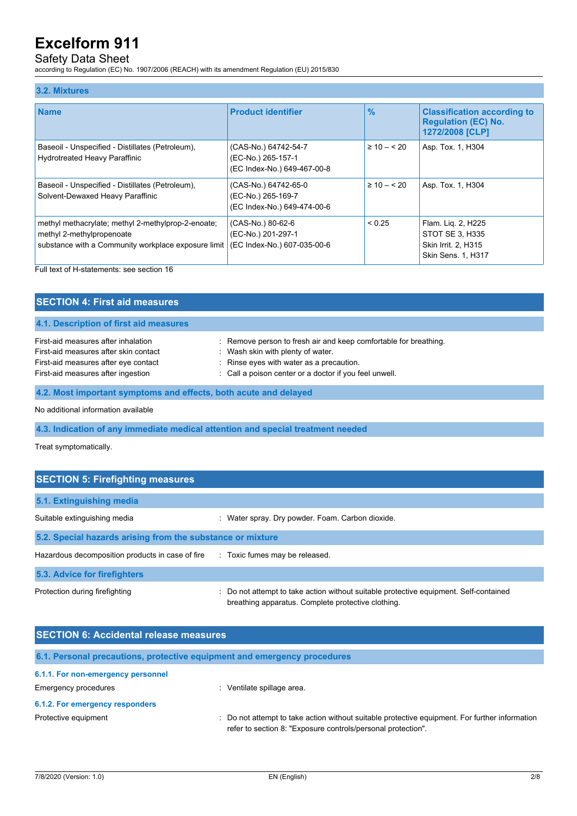# Safety Data Sheet

according to Regulation (EC) No. 1907/2006 (REACH) with its amendment Regulation (EU) 2015/830

#### **3.2. Mixtures**

| <b>Name</b>                                                                                                                            | <b>Product identifier</b>                                                 | $\frac{9}{6}$   | <b>Classification according to</b>                                                        |
|----------------------------------------------------------------------------------------------------------------------------------------|---------------------------------------------------------------------------|-----------------|-------------------------------------------------------------------------------------------|
|                                                                                                                                        |                                                                           |                 | <b>Regulation (EC) No.</b><br>1272/2008 [CLP]                                             |
| Baseoil - Unspecified - Distillates (Petroleum),<br>Hydrotreated Heavy Paraffinic                                                      | (CAS-No.) 64742-54-7<br>(EC-No.) 265-157-1<br>(EC Index-No.) 649-467-00-8 | $\geq 10 - 520$ | Asp. Tox. 1, H304                                                                         |
| Baseoil - Unspecified - Distillates (Petroleum),<br>Solvent-Dewaxed Heavy Paraffinic                                                   | (CAS-No.) 64742-65-0<br>(EC-No.) 265-169-7<br>(EC Index-No.) 649-474-00-6 | $\geq 10 - 520$ | Asp. Tox. 1, H304                                                                         |
| methyl methacrylate; methyl 2-methylprop-2-enoate;<br>methyl 2-methylpropenoate<br>substance with a Community workplace exposure limit | (CAS-No.) 80-62-6<br>(EC-No.) 201-297-1<br>(EC Index-No.) 607-035-00-6    | ${}_{0.25}$     | Flam. Liq. 2, H225<br>STOT SE 3, H335<br>Skin Irrit. 2, H315<br><b>Skin Sens. 1, H317</b> |

Full text of H-statements: see section 16

| <b>SECTION 4: First aid measures</b>                                                                                                                       |                                                                                                                                                                                                             |
|------------------------------------------------------------------------------------------------------------------------------------------------------------|-------------------------------------------------------------------------------------------------------------------------------------------------------------------------------------------------------------|
| 4.1. Description of first aid measures                                                                                                                     |                                                                                                                                                                                                             |
| First-aid measures after inhalation<br>First-aid measures after skin contact<br>First-aid measures after eye contact<br>First-aid measures after ingestion | : Remove person to fresh air and keep comfortable for breathing.<br>: Wash skin with plenty of water.<br>: Rinse eyes with water as a precaution.<br>: Call a poison center or a doctor if you feel unwell. |
| 4.2. Most important symptoms and effects, both acute and delayed                                                                                           |                                                                                                                                                                                                             |
|                                                                                                                                                            |                                                                                                                                                                                                             |

No additional information available

**4.3. Indication of any immediate medical attention and special treatment needed**

Treat symptomatically.

| <b>SECTION 5: Firefighting measures</b>                    |                                                                                                                                           |  |
|------------------------------------------------------------|-------------------------------------------------------------------------------------------------------------------------------------------|--|
| 5.1. Extinguishing media                                   |                                                                                                                                           |  |
| Suitable extinguishing media                               | : Water spray. Dry powder. Foam. Carbon dioxide.                                                                                          |  |
| 5.2. Special hazards arising from the substance or mixture |                                                                                                                                           |  |
| Hazardous decomposition products in case of fire           | : Toxic fumes may be released.                                                                                                            |  |
| 5.3. Advice for firefighters                               |                                                                                                                                           |  |
| Protection during firefighting                             | Do not attempt to take action without suitable protective equipment. Self-contained<br>breathing apparatus. Complete protective clothing. |  |

| <b>SECTION 6: Accidental release measures</b> |                                                                                                                                                                |  |
|-----------------------------------------------|----------------------------------------------------------------------------------------------------------------------------------------------------------------|--|
|                                               | 6.1. Personal precautions, protective equipment and emergency procedures                                                                                       |  |
| 6.1.1. For non-emergency personnel            |                                                                                                                                                                |  |
| Emergency procedures                          | Ventilate spillage area.                                                                                                                                       |  |
| 6.1.2. For emergency responders               |                                                                                                                                                                |  |
| Protective equipment                          | : Do not attempt to take action without suitable protective equipment. For further information<br>refer to section 8: "Exposure controls/personal protection". |  |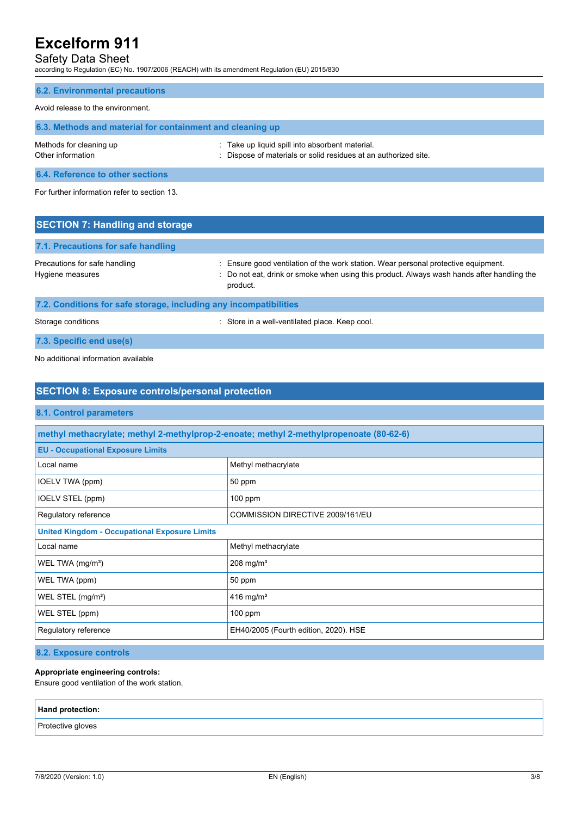# Safety Data Sheet

according to Regulation (EC) No. 1907/2006 (REACH) with its amendment Regulation (EU) 2015/830

#### **6.2. Environmental precautions**

#### Avoid release to the environment.

| 6.3. Methods and material for containment and cleaning up |                                                                                                                    |
|-----------------------------------------------------------|--------------------------------------------------------------------------------------------------------------------|
| Methods for cleaning up<br>Other information              | : Take up liquid spill into absorbent material.<br>: Dispose of materials or solid residues at an authorized site. |
| 6.4. Reference to other sections                          |                                                                                                                    |

For further information refer to section 13.

| <b>SECTION 7: Handling and storage</b>                            |                                                                                                                                                                                            |
|-------------------------------------------------------------------|--------------------------------------------------------------------------------------------------------------------------------------------------------------------------------------------|
| 7.1. Precautions for safe handling                                |                                                                                                                                                                                            |
| Precautions for safe handling<br>Hygiene measures                 | Ensure good ventilation of the work station. Wear personal protective equipment.<br>: Do not eat, drink or smoke when using this product. Always wash hands after handling the<br>product. |
| 7.2. Conditions for safe storage, including any incompatibilities |                                                                                                                                                                                            |

Storage conditions **Storage conditions** : Store in a well-ventilated place. Keep cool.

**7.3. Specific end use(s)**

No additional information available

# **SECTION 8: Exposure controls/personal protection 8.1. Control parameters methyl methacrylate; methyl 2-methylprop-2-enoate; methyl 2-methylpropenoate (80-62-6) EU - Occupational Exposure Limits** Local name Methyl methacrylate IOELV TWA (ppm) 30 ppm IOELV STEL (ppm) 100 ppm Regulatory reference **COMMISSION DIRECTIVE 2009/161/EU United Kingdom - Occupational Exposure Limits** Local name Methyl methacrylate WEL TWA  $(mg/m<sup>3</sup>)$  208 mg/m<sup>3</sup> WEL TWA (ppm) 30 ppm WEL STEL (mg/m<sup>3</sup>) 416 mg/m<sup>3</sup> WEL STEL (ppm) 100 ppm Regulatory reference **EH40/2005** (Fourth edition, 2020). HSE

**8.2. Exposure controls**

### **Appropriate engineering controls:**

Ensure good ventilation of the work station.

| Hand protection:  |  |
|-------------------|--|
| Protective gloves |  |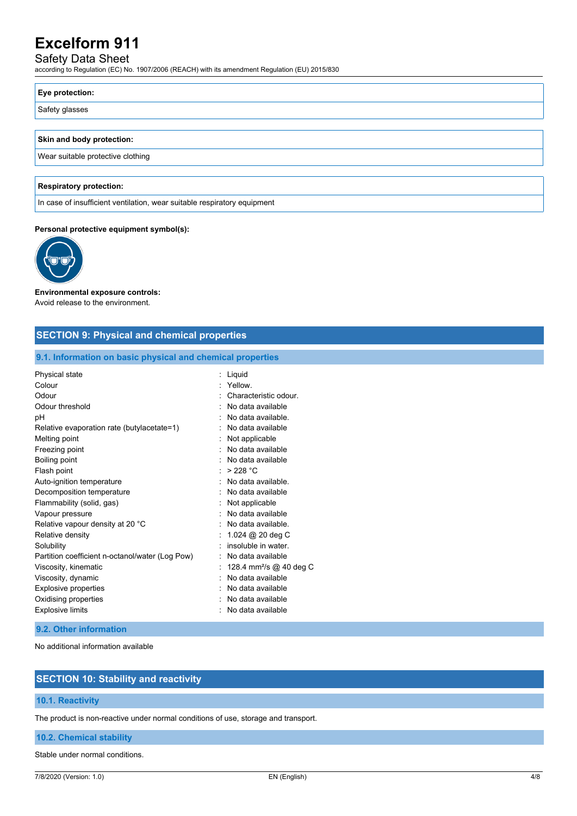# Safety Data Sheet

according to Regulation (EC) No. 1907/2006 (REACH) with its amendment Regulation (EU) 2015/830

### **Eye protection:**

Safety glasses

#### **Skin and body protection:**

Wear suitable protective clothing

#### **Respiratory protection:**

In case of insufficient ventilation, wear suitable respiratory equipment

#### **Personal protective equipment symbol(s):**



#### **Environmental exposure controls:** Avoid release to the environment.

### **SECTION 9: Physical and chemical properties**

#### **9.1. Information on basic physical and chemical properties**

| Physical state                                  | Liquid                              |
|-------------------------------------------------|-------------------------------------|
| Colour                                          | Yellow                              |
| Odour                                           | Characteristic odour.               |
| Odour threshold                                 | No data available                   |
| рH                                              | No data available.                  |
| Relative evaporation rate (butylacetate=1)      | No data available                   |
| Melting point                                   | Not applicable                      |
| Freezing point                                  | No data available                   |
| Boiling point                                   | No data available                   |
| Flash point                                     | >228 °C                             |
| Auto-ignition temperature                       | No data available.                  |
| Decomposition temperature                       | No data available                   |
| Flammability (solid, gas)                       | Not applicable                      |
| Vapour pressure                                 | No data available                   |
| Relative vapour density at 20 °C                | No data available.                  |
| Relative density                                | 1.024 @ 20 deg C                    |
| Solubility                                      | insoluble in water                  |
| Partition coefficient n-octanol/water (Log Pow) | No data available                   |
| Viscosity, kinematic                            | 128.4 mm <sup>2</sup> /s @ 40 deg C |
| Viscosity, dynamic                              | No data available                   |
| <b>Explosive properties</b>                     | No data available                   |
| Oxidising properties                            | No data available                   |
| <b>Explosive limits</b>                         | No data available                   |

#### **9.2. Other information**

No additional information available

# **SECTION 10: Stability and reactivity**

#### **10.1. Reactivity**

The product is non-reactive under normal conditions of use, storage and transport.

### **10.2. Chemical stability**

Stable under normal conditions.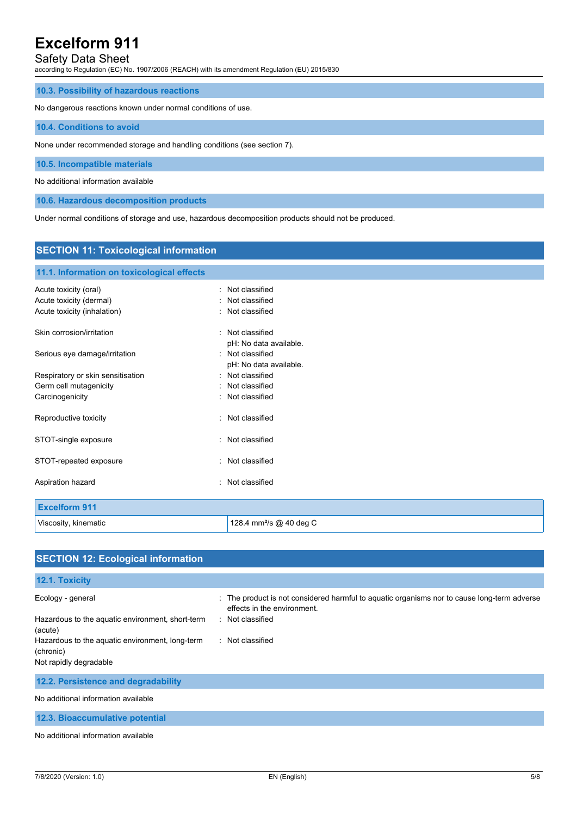# Safety Data Sheet

according to Regulation (EC) No. 1907/2006 (REACH) with its amendment Regulation (EU) 2015/830

#### **10.3. Possibility of hazardous reactions**

No dangerous reactions known under normal conditions of use.

#### **10.4. Conditions to avoid**

None under recommended storage and handling conditions (see section 7).

#### **10.5. Incompatible materials**

No additional information available

**10.6. Hazardous decomposition products**

Under normal conditions of storage and use, hazardous decomposition products should not be produced.

# **SECTION 11: Toxicological information 11.1. Information on toxicological effects** Acute toxicity (oral) **interpretent in the contract of the Cassified** in Not classified Acute toxicity (dermal) **Example 20** Acute toxicity (dermal) Acute toxicity (inhalation) **induces**  $\vdots$  Not classified Skin corrosion/irritation **in the set of the set of the set of the set of the set of the set of the set of the set of the set of the set of the set of the set of the set of the set of the set of the set of the set of the s** pH: No data available. Serious eye damage/irritation **in the serious contract of the Serious** Serious eye damage/irritation pH: No data available. Respiratory or skin sensitisation : Not classified Germ cell mutagenicity **Second Contract Contract Contract Contract Contract Contract Contract Contract Contract Contract Contract Contract Contract Contract Contract Contract Contract Contract Contract Contract Contract Co** Carcinogenicity **Carcinogenicity Carcinogenicity Carcinogenicity Carcinogenicity** Reproductive toxicity in the set of the set of the Reproductive toxicity STOT-single exposure in the state of the state of the STOT-single exposure STOT-repeated exposure in the state of the state of the STOT-repeated exposure Aspiration hazard **in the set of the set of the set of the set of the set of the set of the set of the set of the set of the set of the set of the set of the set of the set of the set of the set of the set of the set of th Excelform 911** Viscosity, kinematic **128.4 mm**<sup>2</sup>/s @ 40 deg C

| <b>SECTION 12: Ecological information</b>                    |                                                                                                                            |
|--------------------------------------------------------------|----------------------------------------------------------------------------------------------------------------------------|
|                                                              |                                                                                                                            |
| 12.1. Toxicity                                               |                                                                                                                            |
| Ecology - general                                            | : The product is not considered harmful to aquatic organisms nor to cause long-term adverse<br>effects in the environment. |
| Hazardous to the aquatic environment, short-term<br>(acute)  | : Not classified                                                                                                           |
| Hazardous to the aquatic environment, long-term<br>(chronic) | : Not classified                                                                                                           |
| Not rapidly degradable                                       |                                                                                                                            |
| 12.2. Persistence and degradability                          |                                                                                                                            |
| No additional information available                          |                                                                                                                            |
| 12.3. Bioaccumulative potential                              |                                                                                                                            |
| No additional information quailable                          |                                                                                                                            |

#### No additional information available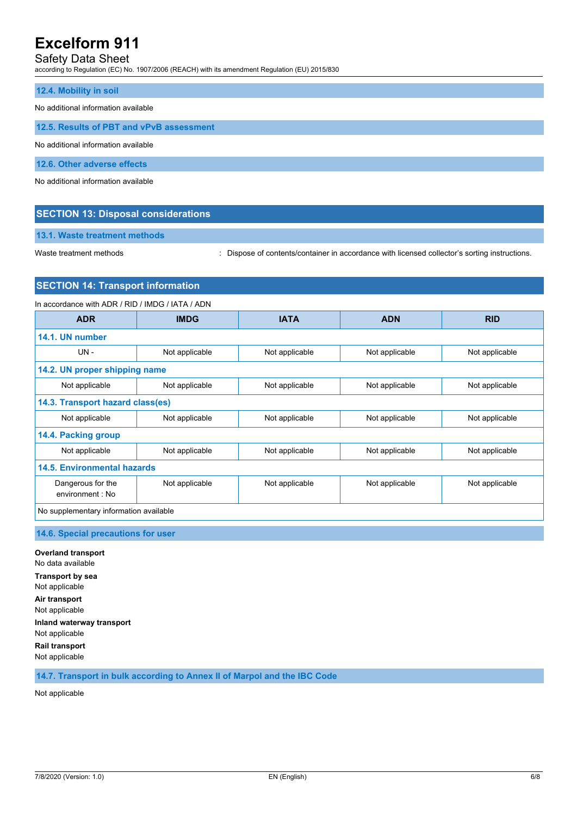# Safety Data Sheet

according to Regulation (EC) No. 1907/2006 (REACH) with its amendment Regulation (EU) 2015/830

#### **12.4. Mobility in soil**

No additional information available

**12.5. Results of PBT and vPvB assessment**

No additional information available

**12.6. Other adverse effects**

No additional information available

### **SECTION 13: Disposal considerations**

**13.1. Waste treatment methods**

Waste treatment methods : Dispose of contents/container in accordance with licensed collector's sorting instructions.

#### **SECTION 14: Transport information**

In accordance with ADR / RID / IMDG / IATA / ADN **ADR IMDG IATA ADN RID 14.1. UN number** UN - Not applicable Not applicable Not applicable Not applicable Not applicable **14.2. UN proper shipping name** Not applicable  $\vert$  Not applicable  $\vert$  Not applicable  $\vert$  Not applicable  $\vert$  Not applicable **14.3. Transport hazard class(es)** Not applicable  $\blacksquare$  Not applicable  $\blacksquare$  Not applicable  $\blacksquare$  Not applicable  $\blacksquare$  Not applicable **14.4. Packing group** Not applicable Not applicable Not applicable Not applicable Not applicable **14.5. Environmental hazards** Dangerous for the environment : No Not applicable Not applicable Not applicable Not applicable No supplementary information available

**14.6. Special precautions for user**

**Overland transport** No data available **Transport by sea** Not applicable **Air transport** Not applicable **Inland waterway transport** Not applicable **Rail transport**

Not applicable

**14.7. Transport in bulk according to Annex II of Marpol and the IBC Code**

Not applicable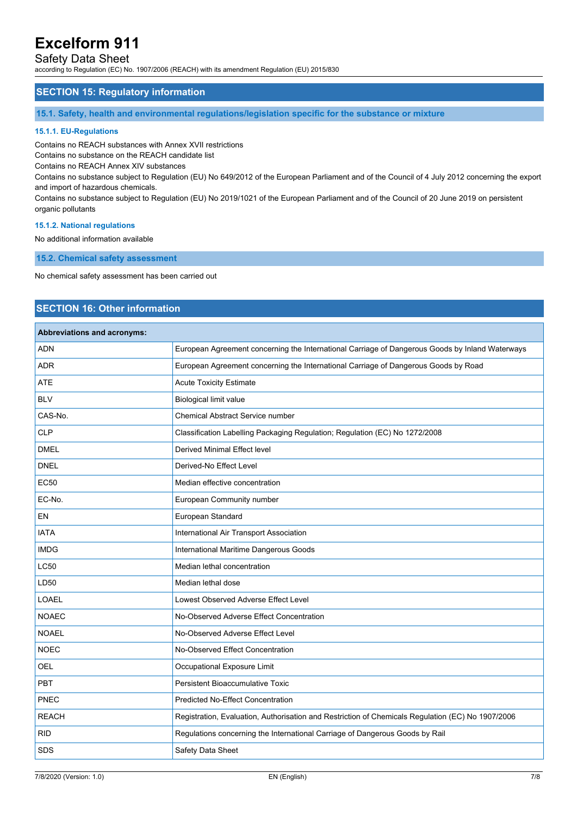# Safety Data Sheet

according to Regulation (EC) No. 1907/2006 (REACH) with its amendment Regulation (EU) 2015/830

### **SECTION 15: Regulatory information**

**15.1. Safety, health and environmental regulations/legislation specific for the substance or mixture**

#### **15.1.1. EU-Regulations**

Contains no REACH substances with Annex XVII restrictions

Contains no substance on the REACH candidate list

Contains no REACH Annex XIV substances

Contains no substance subject to Regulation (EU) No 649/2012 of the European Parliament and of the Council of 4 July 2012 concerning the export and import of hazardous chemicals.

Contains no substance subject to Regulation (EU) No 2019/1021 of the European Parliament and of the Council of 20 June 2019 on persistent organic pollutants

#### **15.1.2. National regulations**

No additional information available

**15.2. Chemical safety assessment**

No chemical safety assessment has been carried out

# **SECTION 16: Other information**

### **Abbreviations and acronyms:**

| ADN          | European Agreement concerning the International Carriage of Dangerous Goods by Inland Waterways   |
|--------------|---------------------------------------------------------------------------------------------------|
| <b>ADR</b>   | European Agreement concerning the International Carriage of Dangerous Goods by Road               |
| <b>ATE</b>   | <b>Acute Toxicity Estimate</b>                                                                    |
| <b>BLV</b>   | <b>Biological limit value</b>                                                                     |
| CAS-No.      | <b>Chemical Abstract Service number</b>                                                           |
| CLP          | Classification Labelling Packaging Regulation; Regulation (EC) No 1272/2008                       |
| <b>DMEL</b>  | <b>Derived Minimal Effect level</b>                                                               |
| <b>DNEL</b>  | Derived-No Effect Level                                                                           |
| <b>EC50</b>  | Median effective concentration                                                                    |
| EC-No.       | European Community number                                                                         |
| <b>EN</b>    | European Standard                                                                                 |
| <b>IATA</b>  | International Air Transport Association                                                           |
| <b>IMDG</b>  | International Maritime Dangerous Goods                                                            |
| <b>LC50</b>  | Median lethal concentration                                                                       |
| LD50         | Median lethal dose                                                                                |
| <b>LOAEL</b> | Lowest Observed Adverse Effect Level                                                              |
| <b>NOAEC</b> | No-Observed Adverse Effect Concentration                                                          |
| <b>NOAEL</b> | No-Observed Adverse Effect Level                                                                  |
| <b>NOEC</b>  | No-Observed Effect Concentration                                                                  |
| OEL          | Occupational Exposure Limit                                                                       |
| PBT          | Persistent Bioaccumulative Toxic                                                                  |
| PNEC         | <b>Predicted No-Effect Concentration</b>                                                          |
| <b>REACH</b> | Registration, Evaluation, Authorisation and Restriction of Chemicals Regulation (EC) No 1907/2006 |
| <b>RID</b>   | Regulations concerning the International Carriage of Dangerous Goods by Rail                      |
| <b>SDS</b>   | Safety Data Sheet                                                                                 |
|              |                                                                                                   |